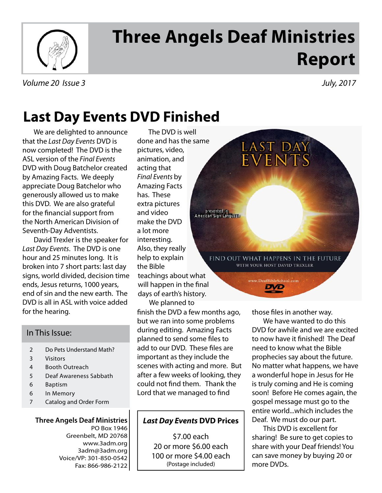

# **Three Angels Deaf Ministries Report**

Volume 20 Issue 3 July, 2017

## **Last Day Events DVD Finished**

We are delighted to announce that the Last Day Events DVD is now completed! The DVD is the ASL version of the Final Events DVD with Doug Batchelor created by Amazing Facts. We deeply appreciate Doug Batchelor who generously allowed us to make this DVD. We are also grateful for the financial support from the North American Division of Seventh-Day Adventists.

David Trexler is the speaker for Last Day Events. The DVD is one hour and 25 minutes long. It is broken into 7 short parts: last day signs, world divided, decision time ends, Jesus returns, 1000 years, end of sin and the new earth. The DVD is all in ASL with voice added for the hearing.

#### In This Issue:

- 2 Do Pets Understand Math?
- 3 Visitors
- 4 Booth Outreach
- 5 Deaf Awareness Sabbath
- 6 Baptism
- 6 In Memory
- 7 Catalog and Order Form

#### **Three Angels Deaf Ministries** PO Box 1946 Greenbelt, MD 20768 www.3adm.org 3adm@3adm.org Voice/VP: 301-850-0542 Fax: 866-986-2122

pictures, video, animation, and acting that Final Events by Amazing Facts has. These extra pictures and video make the DVD a lot more interesting. Also, they really help to explain the Bible The DVD is well done and has the same teachings about what will happen in the final days of earth's history.

We planned to finish the DVD a few months ago, but we ran into some problems during editing. Amazing Facts planned to send some files to add to our DVD. These files are important as they include the scenes with acting and more. But after a few weeks of looking, they could not find them. Thank the Lord that we managed to find

### **Last Day Events DVD Prices**

\$7.00 each 20 or more \$6.00 each 100 or more \$4.00 each (Postage included)

LAST DAY<br>EVENTS presented in<br>American Sign Language

FIND OUT WHAT HAPPENS IN THE FUTURE WITH YOUR HOST DAVID TREXLER

> ww.DeafBibleSchool.com DVD

those files in another way.

We have wanted to do this DVD for awhile and we are excited to now have it finished! The Deaf need to know what the Bible prophecies say about the future. No matter what happens, we have a wonderful hope in Jesus for He is truly coming and He is coming soon! Before He comes again, the gospel message must go to the entire world...which includes the Deaf. We must do our part.

This DVD is excellent for sharing! Be sure to get copies to share with your Deaf friends! You can save money by buying 20 or more DVDs.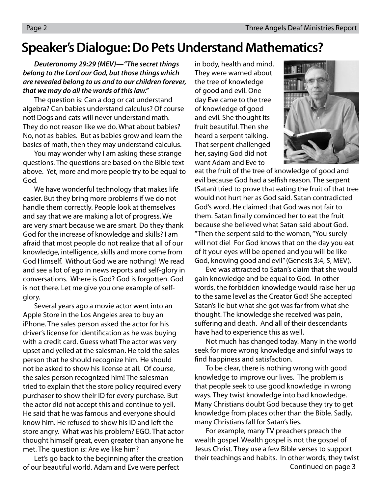### **Speaker's Dialogue: Do Pets Understand Mathematics?**

**Deuteronomy 29:29 (MEV)—"The secret things belong to the Lord our God, but those things which are revealed belong to us and to our children forever, that we may do all the words of this law."**

 The question is: Can a dog or cat understand algebra? Can babies understand calculus? Of course not! Dogs and cats will never understand math. They do not reason like we do. What about babies? No, not as babies. But as babies grow and learn the basics of math, then they may understand calculus.

 You may wonder why I am asking these strange questions. The questions are based on the Bible text above. Yet, more and more people try to be equal to God.

 We have wonderful technology that makes life easier. But they bring more problems if we do not handle them correctly. People look at themselves and say that we are making a lot of progress. We are very smart because we are smart. Do they thank God for the increase of knowledge and skills? I am afraid that most people do not realize that all of our knowledge, intelligence, skills and more come from God Himself. Without God we are nothing! We read and see a lot of ego in news reports and self-glory in conversations. Where is God? God is forgotten. God is not there. Let me give you one example of selfglory.

 Several years ago a movie actor went into an Apple Store in the Los Angeles area to buy an iPhone. The sales person asked the actor for his driver's license for identification as he was buying with a credit card. Guess what! The actor was very upset and yelled at the salesman. He told the sales person that he should recognize him. He should not be asked to show his license at all. Of course, the sales person recognized him! The salesman tried to explain that the store policy required every purchaser to show their ID for every purchase. But the actor did not accept this and continue to yell. He said that he was famous and everyone should know him. He refused to show his ID and left the store angry. What was his problem? EGO. That actor thought himself great, even greater than anyone he met. The question is: Are we like him?

 Let's go back to the beginning after the creation of our beautiful world. Adam and Eve were perfect

in body, health and mind. They were warned about the tree of knowledge of good and evil. One day Eve came to the tree of knowledge of good and evil. She thought its fruit beautiful. Then she heard a serpent talking. That serpent challenged her, saying God did not want Adam and Eve to



eat the fruit of the tree of knowledge of good and evil because God had a selfish reason. The serpent (Satan) tried to prove that eating the fruit of that tree would not hurt her as God said. Satan contradicted God's word. He claimed that God was not fair to them. Satan finally convinced her to eat the fruit because she believed what Satan said about God. "Then the serpent said to the woman, "You surely will not die! For God knows that on the day you eat of it your eyes will be opened and you will be like God, knowing good and evil" (Genesis 3:4, 5, MEV).

 Eve was attracted to Satan's claim that she would gain knowledge and be equal to God. In other words, the forbidden knowledge would raise her up to the same level as the Creator God! She accepted Satan's lie but what she got was far from what she thought. The knowledge she received was pain, suffering and death. And all of their descendants have had to experience this as well.

 Not much has changed today. Many in the world seek for more wrong knowledge and sinful ways to find happiness and satisfaction.

 To be clear, there is nothing wrong with good knowledge to improve our lives. The problem is that people seek to use good knowledge in wrong ways. They twist knowledge into bad knowledge. Many Christians doubt God because they try to get knowledge from places other than the Bible. Sadly, many Christians fall for Satan's lies.

 For example, many TV preachers preach the wealth gospel. Wealth gospel is not the gospel of Jesus Christ. They use a few Bible verses to support their teachings and habits. In other words, they twist Continued on page 3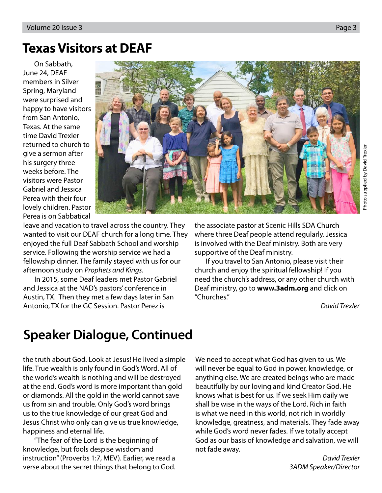### **Texas Visitors at DEAF**

On Sabbath, June 24, DEAF members in Silver Spring, Maryland were surprised and happy to have visitors from San Antonio, Texas. At the same time David Trexler returned to church to give a sermon after his surgery three weeks before. The visitors were Pastor Gabriel and Jessica Perea with their four lovely children. Pastor Perea is on Sabbatical



Photo supplied by David Trexler Photo supplied by David Trexler

leave and vacation to travel across the country. They wanted to visit our DEAF church for a long time. They enjoyed the full Deaf Sabbath School and worship service. Following the worship service we had a fellowship dinner. The family stayed with us for our afternoon study on Prophets and Kings.

In 2015, some Deaf leaders met Pastor Gabriel and Jessica at the NAD's pastors' conference in Austin, TX. Then they met a few days later in San Antonio, TX for the GC Session. Pastor Perez is

the associate pastor at Scenic Hills SDA Church where three Deaf people attend regularly. Jessica is involved with the Deaf ministry. Both are very supportive of the Deaf ministry.

If you travel to San Antonio, please visit their church and enjoy the spiritual fellowship! If you need the church's address, or any other church with Deaf ministry, go to **www.3adm.org** and click on "Churches."

David Trexler

## **Speaker Dialogue, Continued**

the truth about God. Look at Jesus! He lived a simple life. True wealth is only found in God's Word. All of the world's wealth is nothing and will be destroyed at the end. God's word is more important than gold or diamonds. All the gold in the world cannot save us from sin and trouble. Only God's word brings us to the true knowledge of our great God and Jesus Christ who only can give us true knowledge, happiness and eternal life.

 "The fear of the Lord is the beginning of knowledge, but fools despise wisdom and instruction" (Proverbs 1:7, MEV). Earlier, we read a verse about the secret things that belong to God. We need to accept what God has given to us. We will never be equal to God in power, knowledge, or anything else. We are created beings who are made beautifully by our loving and kind Creator God. He knows what is best for us. If we seek Him daily we shall be wise in the ways of the Lord. Rich in faith is what we need in this world, not rich in worldly knowledge, greatness, and materials. They fade away while God's word never fades. If we totally accept God as our basis of knowledge and salvation, we will not fade away.

David Trexler 3ADM Speaker/Director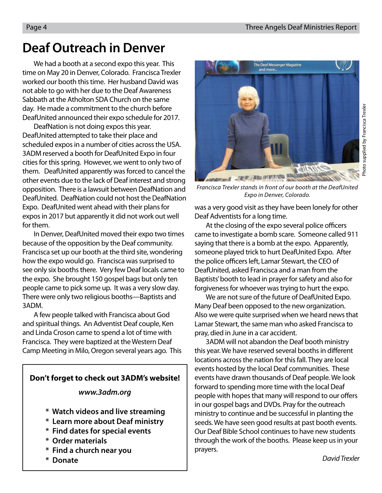### **Deaf Outreach in Denver**

We had a booth at a second expo this year. This time on May 20 in Denver, Colorado. Francisca Trexler worked our booth this time. Her husband David was not able to go with her due to the Deaf Awareness Sabbath at the Atholton SDA Church on the same day. He made a commitment to the church before DeafUnited announced their expo schedule for 2017.

DeafNation is not doing expos this year. DeafUnited attempted to take their place and scheduled expos in a number of cities across the USA. 3ADM reserved a booth for DeafUnited Expo in four cities for this spring. However, we went to only two of them. DeafUnited apparently was forced to cancel the other events due to the lack of Deaf interest and strong opposition. There is a lawsuit between DeafNation and DeafUnited. DeafNation could not host the DeafNation Expo. DeafUnited went ahead with their plans for expos in 2017 but apparently it did not work out well for them.

In Denver, DeafUnited moved their expo two times because of the opposition by the Deaf community. Francisca set up our booth at the third site, wondering how the expo would go. Francisca was surprised to see only six booths there. Very few Deaf locals came to the expo. She brought 150 gospel bags but only ten people came to pick some up. It was a very slow day. There were only two religious booths—Baptists and 3ADM.

A few people talked with Francisca about God and spiritual things. An Adventist Deaf couple, Ken and Linda Croson came to spend a lot of time with Francisca. They were baptized at the Western Deaf Camp Meeting in Milo, Oregon several years ago. This

### **Don't forget to check out 3ADM's website!**

**www.3adm.org**

- **\* Watch videos and live streaming**
- **\* Learn more about Deaf ministry**
- **\* Find dates for special events**
- **\* Order materials**
- **\* Find a church near you**
- **\* Donate**



Photo supplied by Francisca Trexler Photo supplied by Francisca Trexler

Francisca Trexler stands in front of our booth at the DeafUnited Expo in Denver, Colorado.

was a very good visit as they have been lonely for other Deaf Adventists for a long time.

At the closing of the expo several police officers came to investigate a bomb scare. Someone called 911 saying that there is a bomb at the expo. Apparently, someone played trick to hurt DeafUnited Expo. After the police officers left, Lamar Stewart, the CEO of DeafUnited, asked Francisca and a man from the Baptists' booth to lead in prayer for safety and also for forgiveness for whoever was trying to hurt the expo.

We are not sure of the future of DeafUnited Expo. Many Deaf been opposed to the new organization. Also we were quite surprised when we heard news that Lamar Stewart, the same man who asked Francisca to pray, died in June in a car accident.

3ADM will not abandon the Deaf booth ministry this year. We have reserved several booths in different locations across the nation for this fall. They are local events hosted by the local Deaf communities. These events have drawn thousands of Deaf people. We look forward to spending more time with the local Deaf people with hopes that many will respond to our offers in our gospel bags and DVDs. Pray for the outreach ministry to continue and be successful in planting the seeds. We have seen good results at past booth events. Our Deaf Bible School continues to have new students through the work of the booths. Please keep us in your prayers.

David Trexler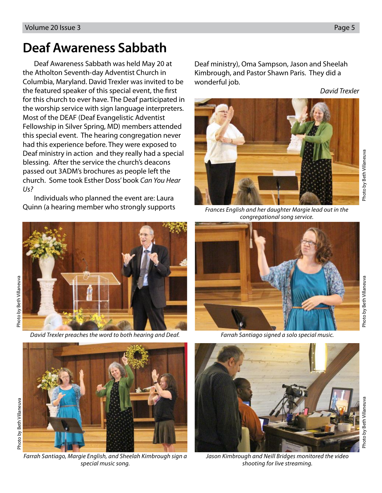Photo by Beth Villaneuva

Photo by Beth Villaneuva

### **Deaf Awareness Sabbath**

Deaf Awareness Sabbath was held May 20 at the Atholton Seventh-day Adventist Church in Columbia, Maryland. David Trexler was invited to be the featured speaker of this special event, the first for this church to ever have. The Deaf participated in the worship service with sign language interpreters. Most of the DEAF (Deaf Evangelistic Adventist Fellowship in Silver Spring, MD) members attended this special event. The hearing congregation never had this experience before. They were exposed to Deaf ministry in action and they really had a special blessing. After the service the church's deacons passed out 3ADM's brochures as people left the church. Some took Esther Doss' book Can You Hear Us?

Individuals who planned the event are: Laura Quinn (a hearing member who strongly supports Frances English and her daughter Margie lead out in the



David Trexler preaches the word to both hearing and Deaf. Farrah Santiago signed a solo special music.



Farrah Santiago, Margie English, and Sheelah Kimbrough sign a special music song.

Deaf ministry), Oma Sampson, Jason and Sheelah Kimbrough, and Pastor Shawn Paris. They did a wonderful job.

David Trexler



congregational song service.





Jason Kimbrough and Neill Bridges monitored the video shooting for live streaming.

Photo by Beth Villaneuva

Photo by Beth Villaneuva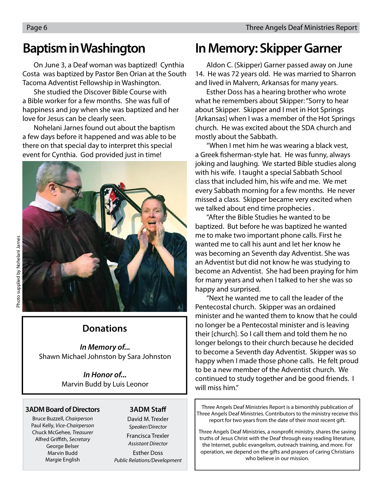### **Baptism in Washington**

On June 3, a Deaf woman was baptized! Cynthia Costa was baptized by Pastor Ben Orian at the South Tacoma Adventist Fellowship in Washington.

She studied the Discover Bible Course with a Bible worker for a few months. She was full of happiness and joy when she was baptized and her love for Jesus can be clearly seen.

Nohelani Jarnes found out about the baptism a few days before it happened and was able to be there on that special day to interpret this special event for Cynthia. God provided just in time!



### **Donations**

**In Memory of...** Shawn Michael Johnston by Sara Johnston

> **In Honor of...** Marvin Budd by Luis Leonor

#### **3ADM Board of Directors**

Bruce Buzzell, Chairperson Paul Kelly, Vice-Chairperson Chuck McGehee, Treasurer Alfred Griffith, Secretary George Belser Marvin Budd Margie English

#### **3ADM Staff**

David M. Trexler Speaker/Director Francisca Trexler

Assistant Director

Esther Doss Public Relations/Development

### **In Memory: Skipper Garner**

Aldon C. (Skipper) Garner passed away on June 14. He was 72 years old. He was married to Sharron and lived in Malvern, Arkansas for many years.

Esther Doss has a hearing brother who wrote what he remembers about Skipper: "Sorry to hear about Skipper. Skipper and I met in Hot Springs [Arkansas] when I was a member of the Hot Springs church. He was excited about the SDA church and mostly about the Sabbath.

"When I met him he was wearing a black vest, a Greek fisherman-style hat. He was funny, always joking and laughing. We started Bible studies along with his wife. I taught a special Sabbath School class that included him, his wife and me. We met every Sabbath morning for a few months. He never missed a class. Skipper became very excited when we talked about end time prophecies .

"After the Bible Studies he wanted to be baptized. But before he was baptized he wanted me to make two important phone calls. First he wanted me to call his aunt and let her know he was becoming an Seventh day Adventist. She was an Adventist but did not know he was studying to become an Adventist. She had been praying for him for many years and when I talked to her she was so happy and surprised.

"Next he wanted me to call the leader of the Pentecostal church. Skipper was an ordained minister and he wanted them to know that he could no longer be a Pentecostal minister and is leaving their [church]. So I call them and told them he no longer belongs to their church because he decided to become a Seventh day Adventist. Skipper was so happy when I made those phone calls. He felt proud to be a new member of the Adventist church. We continued to study together and be good friends. I will miss him."

Three Angels Deaf Ministries Report is a bimonthly publication of Three Angels Deaf Ministries. Contributors to the ministry receive this report for two years from the date of their most recent gift.

Three Angels Deaf Ministries, a nonprofit ministry, shares the saving truths of Jesus Christ with the Deaf through easy reading literature, the Internet, public evangelism, outreach training, and more. For operation, we depend on the gifts and prayers of caring Christians who believe in our mission.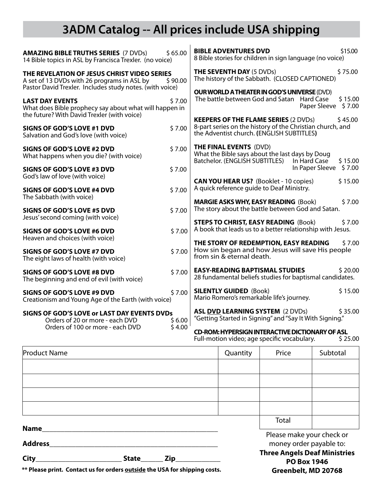### **3ADM Catalog -- All prices include USA shipping**

| <b>AMAZING BIBLE TRUTHS SERIES (7 DVDs)</b><br>14 Bible topics in ASL by Francisca Trexler. (no voice)                                                            | \$65.00 | \$15.00<br><b>BIBLE ADVENTURES DVD</b><br>8 Bible stories for children in sign language (no voice)                                                               |  |  |
|-------------------------------------------------------------------------------------------------------------------------------------------------------------------|---------|------------------------------------------------------------------------------------------------------------------------------------------------------------------|--|--|
| THE REVELATION OF JESUS CHRIST VIDEO SERIES<br>A set of 13 DVDs with 26 programs in ASL by<br>\$90.00<br>Pastor David Trexler. Includes study notes. (with voice) |         | <b>THE SEVENTH DAY (5 DVDs)</b><br>\$75.00<br>The history of the Sabbath. (CLOSED CAPTIONED)                                                                     |  |  |
| <b>LAST DAY EVENTS</b><br>What does Bible prophecy say about what will happen in<br>the future? With David Trexler (with voice)                                   | \$7.00  | <b>OUR WORLD A THEATER IN GOD'S UNIVERSE (DVD)</b><br>The battle between God and Satan<br><b>Hard Case</b><br>\$15.00<br>\$7.00<br>Paper Sleeve                  |  |  |
| SIGNS OF GOD'S LOVE #1 DVD<br>Salvation and God's love (with voice)                                                                                               | \$7.00  | <b>KEEPERS OF THE FLAME SERIES (2 DVDs)</b><br>\$45.00<br>8-part series on the history of the Christian church, and<br>the Adventist church. (ENGLISH SUBTITLES) |  |  |
| SIGNS OF GOD'S LOVE #2 DVD<br>What happens when you die? (with voice)                                                                                             | \$7.00  | <b>THE FINAL EVENTS (DVD)</b><br>What the Bible says about the last days by Doug<br>Batchelor. (ENGLISH SUBTITLES)<br>In Hard Case<br>\$15.00                    |  |  |
| <b>SIGNS OF GOD'S LOVE #3 DVD</b><br>God's law of love (with voice)                                                                                               | \$7.00  | In Paper Sleeve<br>\$7.00                                                                                                                                        |  |  |
| <b>SIGNS OF GOD'S LOVE #4 DVD</b>                                                                                                                                 | \$7.00  | <b>CAN YOU HEAR US?</b> (Booklet - 10 copies)<br>\$15.00<br>A quick reference guide to Deaf Ministry.                                                            |  |  |
| The Sabbath (with voice)<br>SIGNS OF GOD'S LOVE #5 DVD<br>Jesus' second coming (with voice)                                                                       | \$7.00  | <b>MARGIE ASKS WHY, EASY READING (Book)</b><br>\$7.00<br>The story about the battle between God and Satan.                                                       |  |  |
| <b>SIGNS OF GOD'S LOVE #6 DVD</b><br>Heaven and choices (with voice)                                                                                              |         | <b>STEPS TO CHRIST, EASY READING (Book)</b><br>\$7.00<br>A book that leads us to a better relationship with Jesus.                                               |  |  |
| <b>SIGNS OF GOD'S LOVE #7 DVD</b><br>The eight laws of health (with voice)                                                                                        | \$7.00  | THE STORY OF REDEMPTION, EASY READING<br>\$7.00<br>How sin began and how Jesus will save His people<br>from sin & eternal death.                                 |  |  |
| <b>SIGNS OF GOD'S LOVE #8 DVD</b><br>The beginning and end of evil (with voice)                                                                                   | \$7.00  | \$20.00<br><b>EASY-READING BAPTISMAL STUDIES</b><br>28 fundamental beliefs studies for baptismal candidates.                                                     |  |  |
| SIGNS OF GOD'S LOVE #9 DVD<br>Creationism and Young Age of the Earth (with voice)                                                                                 | \$7.00  | <b>SILENTLY GUIDED (Book)</b><br>\$15.00<br>Mario Romero's remarkable life's journey.                                                                            |  |  |
| SIGNS OF GOD'S LOVE or LAST DAY EVENTS DVDs<br>Orders of 20 or more - each DVD                                                                                    |         | \$35.00<br><b>ASL DVD LEARNING SYSTEM (2 DVDs)</b><br>"Getting Started in Signing" and "Say It With Signing."                                                    |  |  |
| Orders of 100 or more - each DVD                                                                                                                                  | \$4.00  | <b>CD-ROM: HYPERSIGN INTERACTIVE DICTIONARY OF ASL</b><br>Full protient de communes en existence en la distribucció                                              |  |  |

Full-motion video; age specific vocabulary.  $\frac{1}{2}$  \$ 25.00

| <b>Product Name</b>            |  |  | Quantity | Price                                                     | Subtotal |  |
|--------------------------------|--|--|----------|-----------------------------------------------------------|----------|--|
|                                |  |  |          |                                                           |          |  |
|                                |  |  |          |                                                           |          |  |
|                                |  |  |          |                                                           |          |  |
|                                |  |  |          |                                                           |          |  |
|                                |  |  |          | Total                                                     |          |  |
| <b>Name</b><br><b>Address</b>  |  |  |          | Please make your check or<br>money order payable to:      |          |  |
| $City_$<br><b>State</b><br>Zip |  |  |          | <b>Three Angels Deaf Ministries</b><br><b>PO Roy 1946</b> |          |  |

**\*\* Please print. Contact us for orders outside the USA for shipping costs.**

**PO Box 1946 Greenbelt, MD 20768**